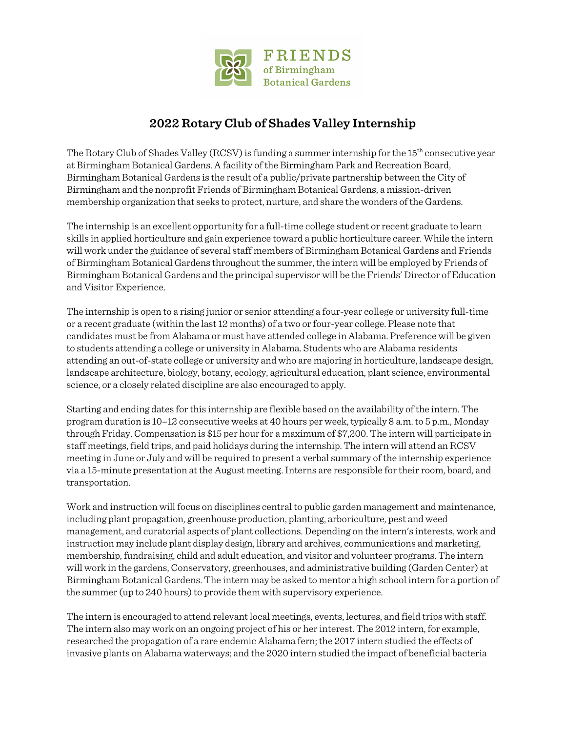

## **2022 Rotary Club of Shades Valley Internship**

The Rotary Club of Shades Valley (RCSV) is funding a summer internship for the 15<sup>th</sup> consecutive year at Birmingham Botanical Gardens. A facility of the Birmingham Park and Recreation Board, Birmingham Botanical Gardens is the result of a public/private partnership between the City of Birmingham and the nonprofit Friends of Birmingham Botanical Gardens, a mission-driven membership organization that seeks to protect, nurture, and share the wonders of the Gardens.

The internship is an excellent opportunity for a full-time college student or recent graduate to learn skills in applied horticulture and gain experience toward a public horticulture career. While the intern will work under the guidance of several staff members of Birmingham Botanical Gardens and Friends of Birmingham Botanical Gardens throughout the summer, the intern will be employed by Friends of Birmingham Botanical Gardens and the principal supervisor will be the Friends' Director of Education and Visitor Experience.

The internship is open to a rising junior or senior attending a four-year college or university full-time or a recent graduate (within the last 12 months) of a two or four-year college. Please note that candidates must be from Alabama or must have attended college in Alabama. Preference will be given to students attending a college or university in Alabama. Students who are Alabama residents attending an out-of-state college or university and who are majoring in horticulture, landscape design, landscape architecture, biology, botany, ecology, agricultural education, plant science, environmental science, or a closely related discipline are also encouraged to apply.

Starting and ending dates for this internship are flexible based on the availability of the intern. The program duration is 10–12 consecutive weeks at 40 hours per week, typically 8 a.m. to 5 p.m., Monday through Friday. Compensation is \$15 per hour for a maximum of \$7,200. The intern will participate in staff meetings, field trips, and paid holidays during the internship. The intern will attend an RCSV meeting in June or July and will be required to present a verbal summary of the internship experience via a 15-minute presentation at the August meeting.Interns are responsible for their room, board, and transportation.

Work and instruction will focus on disciplines central to public garden management and maintenance, including plant propagation, greenhouse production, planting, arboriculture, pest and weed management, and curatorial aspects of plant collections. Depending on the intern's interests, work and instruction may include plant display design, library and archives, communications and marketing, membership, fundraising, child and adult education, and visitor and volunteer programs. The intern will work in the gardens, Conservatory, greenhouses, and administrative building (Garden Center) at Birmingham Botanical Gardens. The intern may be asked to mentor a high school intern for a portion of the summer (up to 240 hours) to provide them with supervisory experience.

The intern is encouraged to attend relevant local meetings, events, lectures, and field trips with staff. The intern also may work on an ongoing project of his or her interest. The 2012 intern, for example, researched the propagation of a rare endemic Alabama fern; the 2017 intern studied the effects of invasive plants on Alabama waterways; and the 2020 intern studied the impact of beneficial bacteria